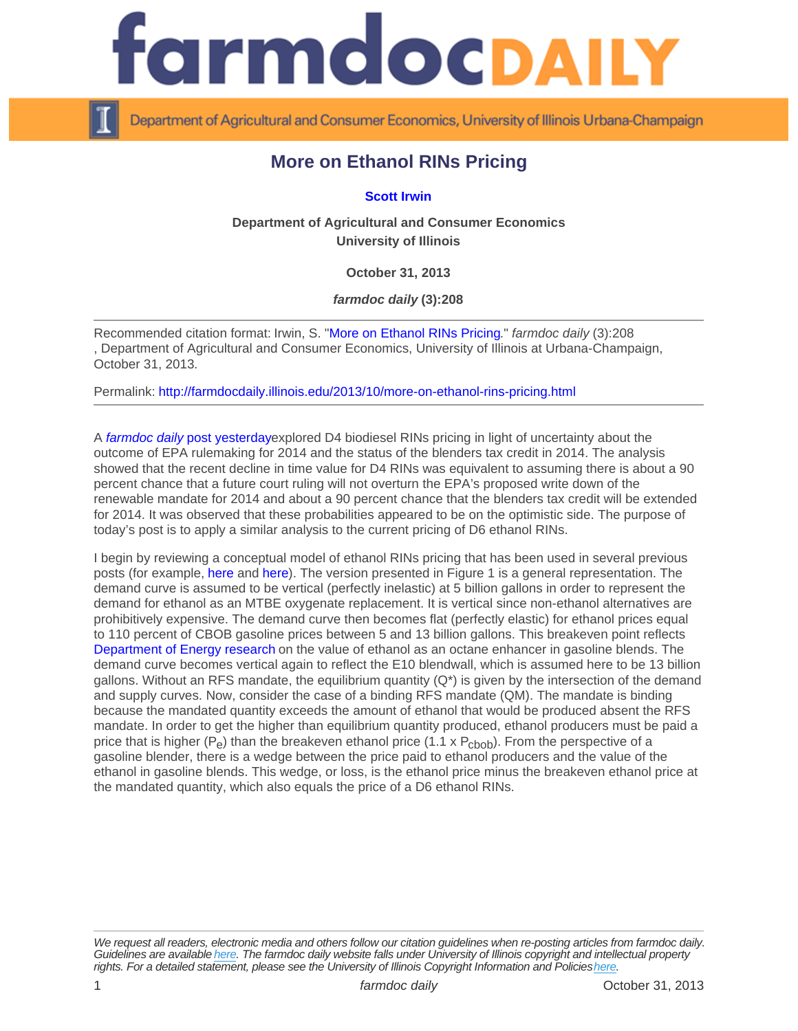## More on Ethanol RINs Pricing

## [Scott Irwin](http://www.farmdoc.illinois.edu/irwin)

Department of Agricultural and Consumer Economics University of Illinois

October 31, 2013

farmdoc daily (3):208

Recommended citation format: Irwin, S. "[More on Ethanol RINs Pricing.](http://farmdocdaily.illinois.edu/2013/10/more-on-ethanol-rins-pricing.html)" farmdoc daily (3):208 , Department of Agricultural and Consumer Economics, University of Illinois at Urbana-Champaign, October 31, 2013.

Permalink:<http://farmdocdaily.illinois.edu/2013/10/more-on-ethanol-rins-pricing.html>

A [farmdoc daily po](http://farmdocdaily.illinois.edu/2013/10/more-on-biodiesel-rins-pricing.html)st yesterdayexplored D4 biodiesel RINs pricing in light of uncertainty about the outcome of EPA rulemaking for 2014 and the status of the blenders tax credit in 2014. The analysis showed that the recent decline in time value for D4 RINs was equivalent to assuming there is about a 90 percent chance that a future court ruling will not overturn the EPA's proposed write down of the renewable mandate for 2014 and about a 90 percent chance that the blenders tax credit will be extended for 2014. It was observed that these probabilities appeared to be on the optimistic side. The purpose of today's post is to apply a similar analysis to the current pricing of D6 ethanol RINs.

I begin by reviewing a conceptual model of ethanol RINs pricing that has been used in several previous posts (for example, [here](http://farmdocdaily.illinois.edu/2013/07/rins-gone-wild.html) and [here](http://farmdocdaily.illinois.edu/2013/10/ethanol-prices-drive-corn-prices.html)). The version presented in Figure 1 is a general representation. The demand curve is assumed to be vertical (perfectly inelastic) at 5 billion gallons in order to represent the demand for ethanol as an MTBE oxygenate replacement. It is vertical since non-ethanol alternatives are prohibitively expensive. The demand curve then becomes flat (perfectly elastic) for ethanol prices equal to 110 percent of CBOB gasoline prices between 5 and 13 billion gallons. This breakeven point reflects [Department of Energy research](http://ethanolrfa.3cdn.net/1c8f40b533c12645b1_ubm6i6l9b.pdf) on the value of ethanol as an octane enhancer in gasoline blends. The demand curve becomes vertical again to reflect the E10 blendwall, which is assumed here to be 13 billion gallons. Without an RFS mandate, the equilibrium quantity  $(Q^*)$  is given by the intersection of the demand and supply curves. Now, consider the case of a binding RFS mandate (QM). The mandate is binding because the mandated quantity exceeds the amount of ethanol that would be produced absent the RFS mandate. In order to get the higher than equilibrium quantity produced, ethanol producers must be paid a price that is higher  $(P_e)$  than the breakeven ethanol price (1.1 x  $P_{\text{chob}}$ ). From the perspective of a gasoline blender, there is a wedge between the price paid to ethanol producers and the value of the ethanol in gasoline blends. This wedge, or loss, is the ethanol price minus the breakeven ethanol price at the mandated quantity, which also equals the price of a D6 ethanol RINs.

We request all readers, electronic media and others follow our citation guidelines when re-posting articles from farmdoc daily. Guidelines are available [here](http://farmdocdaily.illinois.edu/citationguide.html). The farmdoc daily website falls under University of Illinois copyright and intellectual property rights. For a detailed statement, please see the University of Illinois Copyright Information and Policies [here.](https://techservices.illinois.edu/office-cio)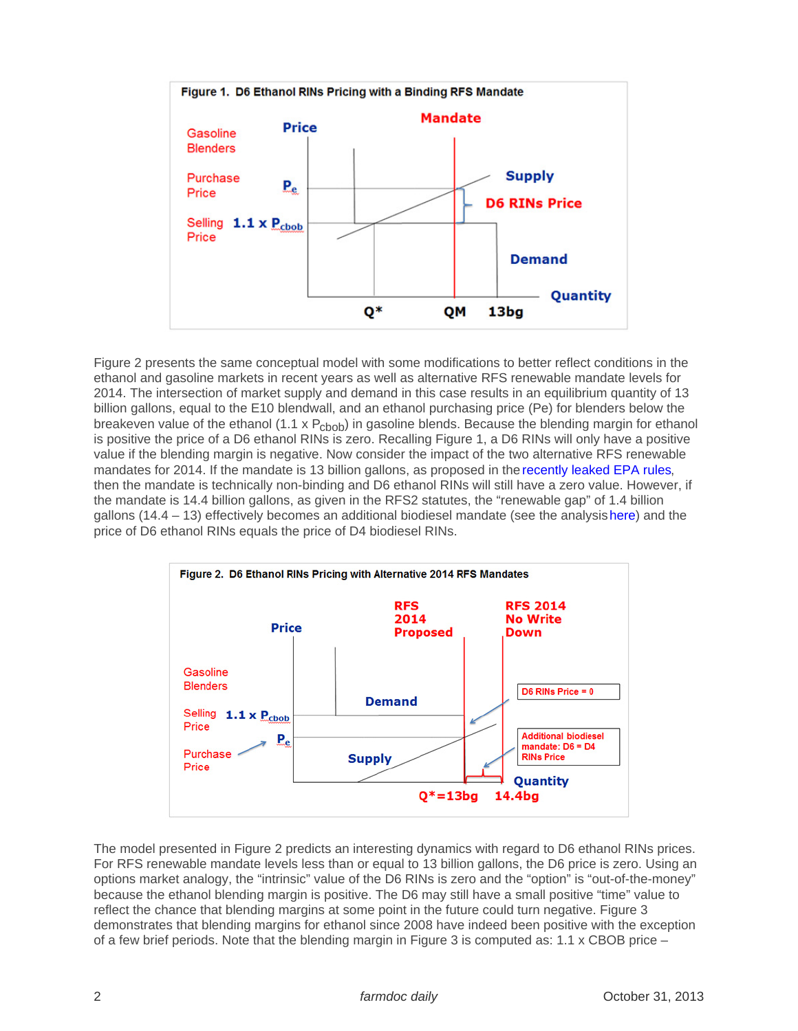Figure 2 presents the same conceptual model with some modifications to better reflect conditions in the ethanol and gasoline markets in recent years as well as alternative RFS renewable mandate levels for 2014. The intersection of market supply and demand in this case results in an equilibrium quantity of 13 billion gallons, equal to the E10 blendwall, and an ethanol purchasing price (Pe) for blenders below the breakeven value of the ethanol (1.1 x  $P_{\rm{choh}}$ ) in gasoline blends. Because the blending margin for ethanol is positive the price of a D6 ethanol RINs is zero. Recalling Figure 1, a D6 RINs will only have a positive value if the blending margin is negative. Now consider the impact of the two alternative RFS renewable mandates for 2014. If the mandate is 13 billion gallons, as proposed in the [recently leaked EPA rules,](http://www.reuters.com/article/2013/10/11/us-ethanol-blendwall-analysis-idUSBRE99A09420131011) then the mandate is technically non-binding and D6 ethanol RINs will still have a zero value. However, if the mandate is 14.4 billion gallons, as given in the RFS2 statutes, the "renewable gap" of 1.4 billion gallons (14.4 – 13) effectively becomes an additional biodiesel mandate (see the analysis [here\)](http://farmdocdaily.illinois.edu/2013/07/rins-gone-wild.html) and the price of D6 ethanol RINs equals the price of D4 biodiesel RINs.

The model presented in Figure 2 predicts an interesting dynamics with regard to D6 ethanol RINs prices. For RFS renewable mandate levels less than or equal to 13 billion gallons, the D6 price is zero. Using an options market analogy, the "intrinsic" value of the D6 RINs is zero and the "option" is "out-of-the-money" because the ethanol blending margin is positive. The D6 may still have a small positive "time" value to reflect the chance that blending margins at some point in the future could turn negative. Figure 3 demonstrates that blending margins for ethanol since 2008 have indeed been positive with the exception of a few brief periods. Note that the blending margin in Figure 3 is computed as:  $1.1 \times$  CBOB price –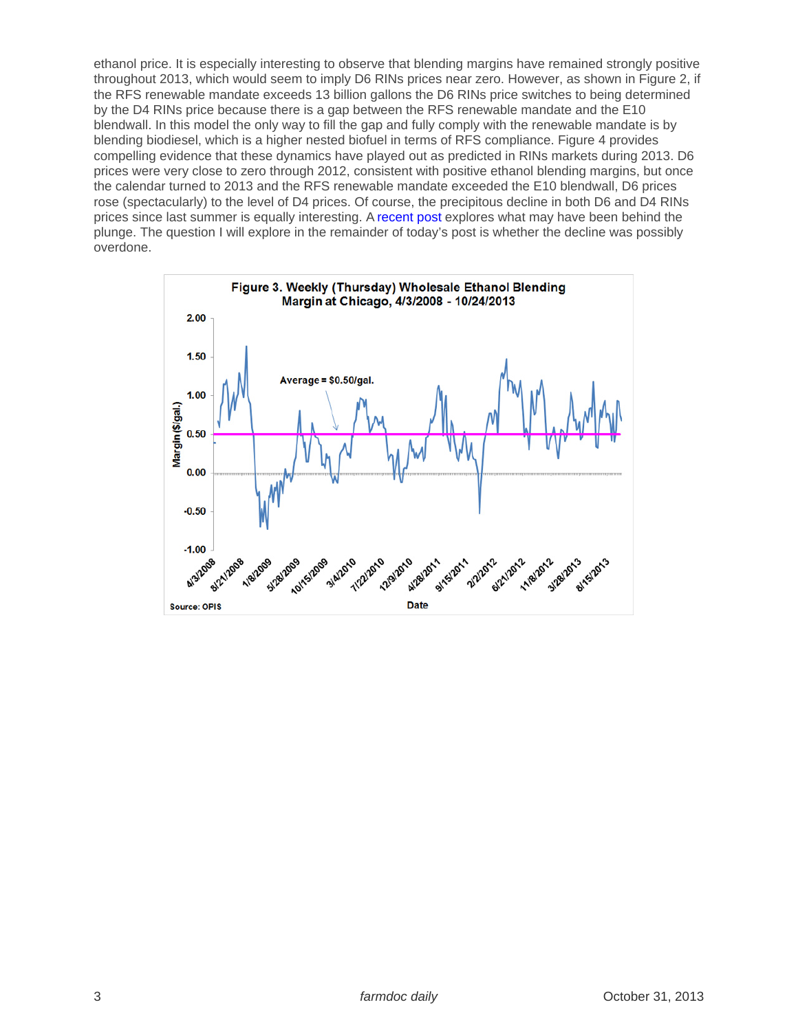ethanol price. It is especially interesting to observe that blending margins have remained strongly positive throughout 2013, which would seem to imply D6 RINs prices near zero. However, as shown in Figure 2, if the RFS renewable mandate exceeds 13 billion gallons the D6 RINs price switches to being determined by the D4 RINs price because there is a gap between the RFS renewable mandate and the E10 blendwall. In this model the only way to fill the gap and fully comply with the renewable mandate is by blending biodiesel, which is a higher nested biofuel in terms of RFS compliance. Figure 4 provides compelling evidence that these dynamics have played out as predicted in RINs markets during 2013. D6 prices were very close to zero through 2012, consistent with positive ethanol blending margins, but once the calendar turned to 2013 and the RFS renewable mandate exceeded the E10 blendwall, D6 prices rose (spectacularly) to the level of D4 prices. Of course, the precipitous decline in both D6 and D4 RINs prices since last summer is equally interesting. A [recent post](http://farmdocdaily.illinois.edu/2013/10/whats-behind-the-plunge-in-rin.html) explores what may have been behind the plunge. The question I will explore in the remainder of today's post is whether the decline was possibly overdone.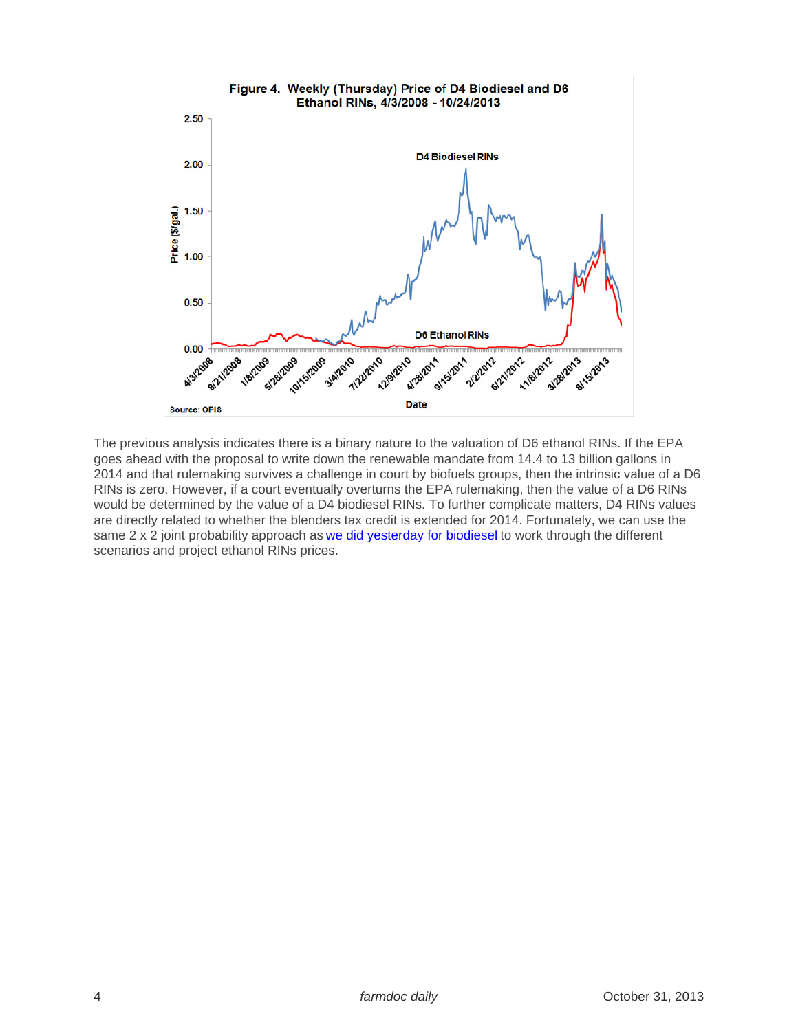The previous analysis indicates there is a binary nature to the valuation of D6 ethanol RINs. If the EPA goes ahead with the proposal to write down the renewable mandate from 14.4 to 13 billion gallons in 2014 and that rulemaking survives a challenge in court by biofuels groups, then the intrinsic value of a D6 RINs is zero. However, if a court eventually overturns the EPA rulemaking, then the value of a D6 RINs would be determined by the value of a D4 biodiesel RINs. To further complicate matters, D4 RINs values are directly related to whether the blenders tax credit is extended for 2014. Fortunately, we can use the same 2 x 2 joint probability approach as [we did yesterday for biodiesel](http://farmdocdaily.illinois.edu/2013/10/more-on-biodiesel-rins-pricing.html) to work through the different scenarios and project ethanol RINs prices.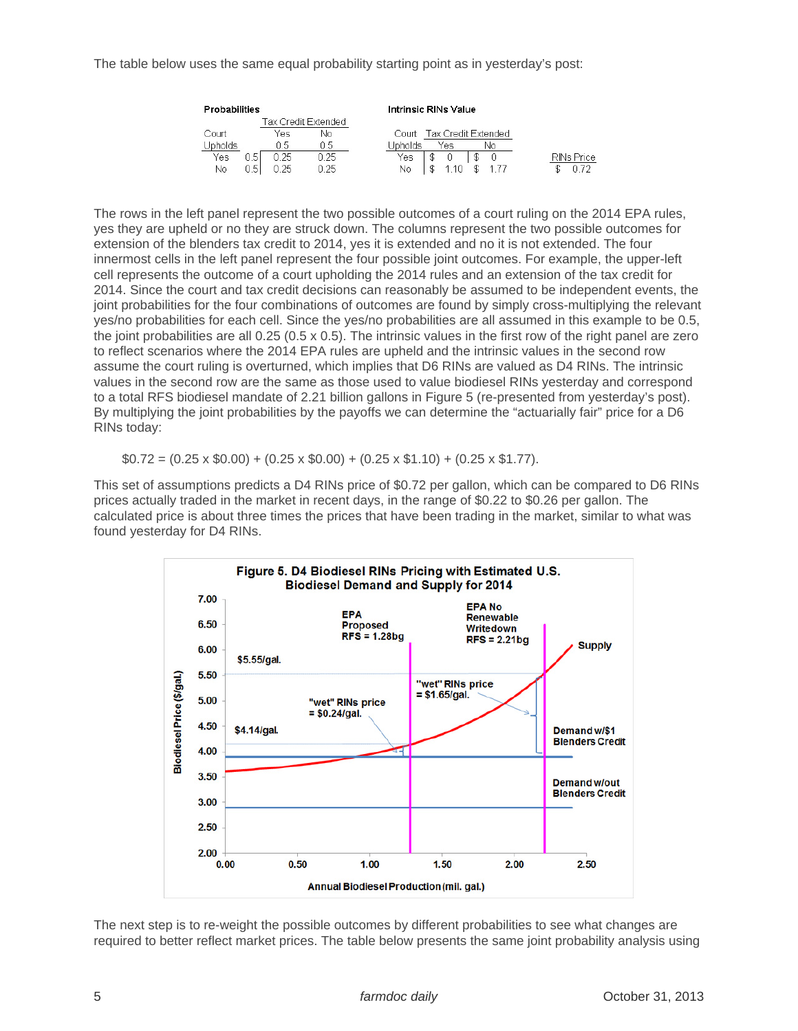The table below uses the same equal probability starting point as in yesterday's post:

| <b>Probabilities</b> |     |      |                     | Intrinsic RINs Value         |            |
|----------------------|-----|------|---------------------|------------------------------|------------|
|                      |     |      | Tax Credit Extended |                              |            |
| Court                |     | Yes  | Νo                  | Tax Credit Extended<br>Court |            |
| Jpholds              |     | 15   | 0.5                 | Jpholds<br>Yes<br>N٥         |            |
| Yes                  | 0.5 | ว 25 | 0.25                | Yes                          | RINs Price |
| Νo                   | 0.5 | 25   | 1 25                | No                           |            |

The rows in the left panel represent the two possible outcomes of a court ruling on the 2014 EPA rules, yes they are upheld or no they are struck down. The columns represent the two possible outcomes for extension of the blenders tax credit to 2014, yes it is extended and no it is not extended. The four innermost cells in the left panel represent the four possible joint outcomes. For example, the upper-left cell represents the outcome of a court upholding the 2014 rules and an extension of the tax credit for 2014. Since the court and tax credit decisions can reasonably be assumed to be independent events, the joint probabilities for the four combinations of outcomes are found by simply cross-multiplying the relevant yes/no probabilities for each cell. Since the yes/no probabilities are all assumed in this example to be 0.5, the joint probabilities are all 0.25 (0.5 x 0.5). The intrinsic values in the first row of the right panel are zero to reflect scenarios where the 2014 EPA rules are upheld and the intrinsic values in the second row assume the court ruling is overturned, which implies that D6 RINs are valued as D4 RINs. The intrinsic values in the second row are the same as those used to value biodiesel RINs yesterday and correspond to a total RFS biodiesel mandate of 2.21 billion gallons in Figure 5 (re-presented from yesterday's post). By multiplying the joint probabilities by the payoffs we can determine the "actuarially fair" price for a D6 RINs today:

 $$0.72 = (0.25 \times $0.00) + (0.25 \times $0.00) + (0.25 \times $1.10) + (0.25 \times $1.77).$ 

This set of assumptions predicts a D4 RINs price of \$0.72 per gallon, which can be compared to D6 RINs prices actually traded in the market in recent days, in the range of \$0.22 to \$0.26 per gallon. The calculated price is about three times the prices that have been trading in the market, similar to what was found yesterday for D4 RINs.



The next step is to re-weight the possible outcomes by different probabilities to see what changes are required to better reflect market prices. The table below presents the same joint probability analysis using